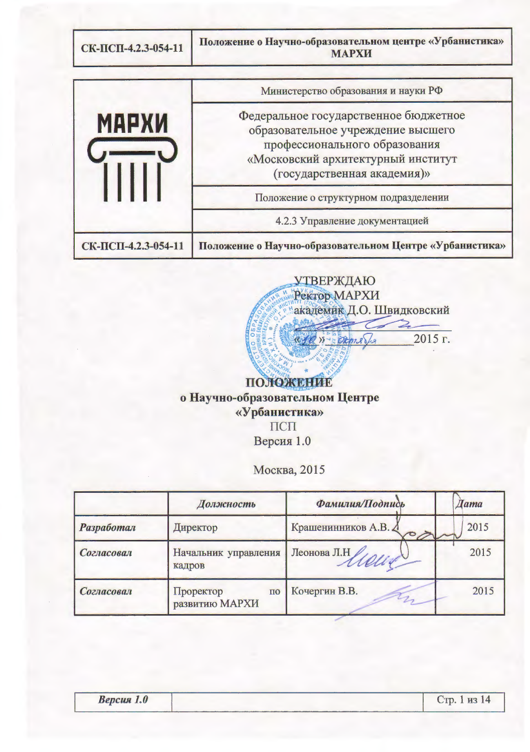Положение о Научно-образовательном центре «Урбанистика» СК-ПСП-4.2.3-054-11 **МАРХИ** Министерство образования и науки РФ Федеральное государственное бюджетное **МАРХИ** образовательное учреждение высшего  $\overline{\overline{\mathbf{u}}\mathbf{u}}$ профессионального образования «Московский архитектурный институт (государственная академия)» Положение о структурном подразделении 4.2.3 Управление документацией СК-ПСП-4.2.3-054-11 Положение о Научно-образовательном Центре «Урбанистика»



о Научно-образовательном Центре «Урбанистика» ПСП Версия 1.0

Москва, 2015

|                        | Должность                                         | Фамилия/Подпись                | $\Box$ ama |  |
|------------------------|---------------------------------------------------|--------------------------------|------------|--|
| Разработал<br>Директор |                                                   | Крашенинников А.В. Д<br>$\sim$ | 2015       |  |
| Согласовал             | Начальник управления<br>кадров                    | Леонова Л.Н<br>Mont            | 2015       |  |
| Согласовал             | Проректор<br>$\Pi$ <sup>O</sup><br>развитию МАРХИ | Кочергин В.В.                  | 2015       |  |

Стр. 1 из 14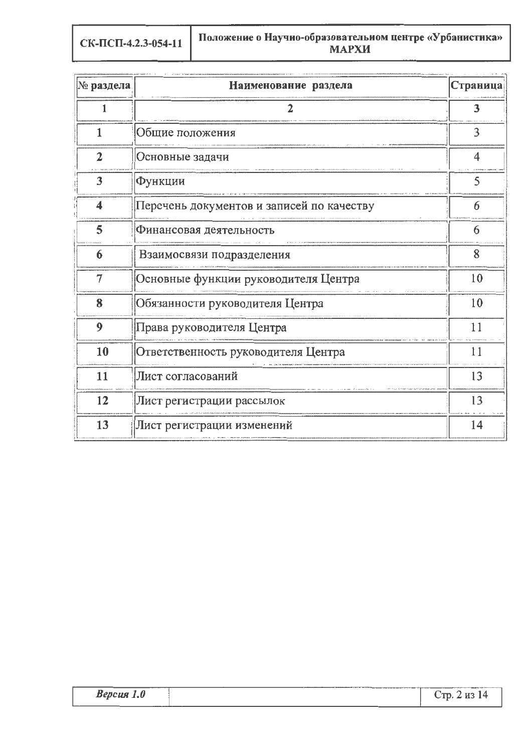СК-ПСП-4.2.3-054-11

| № раздела               | Наименование раздела                      | Страница |  |  |
|-------------------------|-------------------------------------------|----------|--|--|
| 1                       | 2                                         | 3        |  |  |
| $\mathbf{1}$            | Общие положения                           | 3        |  |  |
| $\overline{2}$          | Основные задачи                           | 4        |  |  |
| 3                       | Функции                                   | 5        |  |  |
| $\overline{\mathbf{4}}$ | Перечень документов и записей по качеству | 6        |  |  |
| 5                       | Финансовая деятельность                   | 6        |  |  |
| 6                       | Взаимосвязи подразделения                 | 8        |  |  |
| $\overline{7}$          | Основные функции руководителя Центра      | 10       |  |  |
| 8                       | Обязанности руководителя Центра           | 10       |  |  |
| 9                       | Права руководителя Центра                 | 11       |  |  |
| 10                      | Ответственность руководителя Центра       | 11       |  |  |
| 11                      | Лист согласований                         | 13       |  |  |
| 12                      | Лист регистрации рассылок                 | 13       |  |  |
| 13                      | Лист регистрации изменений                | 14       |  |  |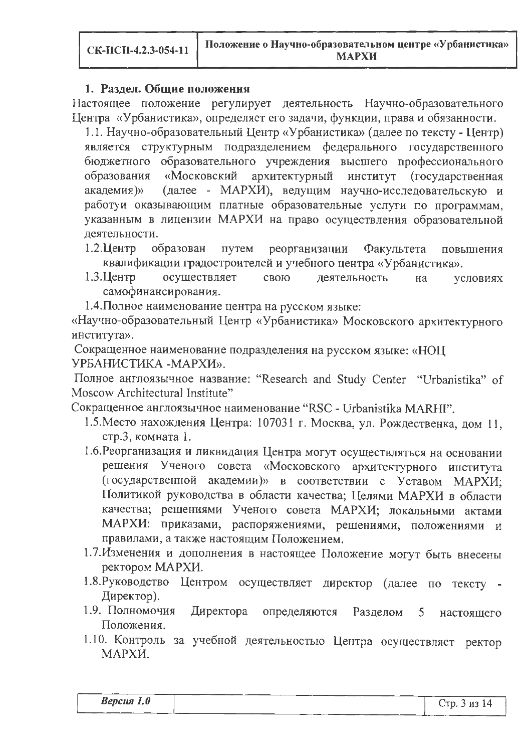#### 1. Раздел. Общие положения

Настоящее положение регулирует деятельность Научно-образовательного Центра «Урбанистика», определяет его задачи, функции, права и обязанности.

1.1. Научно-образовательный Центр «Урбанистика» (далее по тексту - Центр) является структурным подразделением федерального государственного бюджетного образовательного учреждения высшего профессионального архитектурный образования «Московский институт (государственная (далее - МАРХИ), ведущим научно-исследовательскую и академия)» работуи оказывающим платные образовательные услуги по программам, указанным в лицензии МАРХИ на право осуществления образовательной деятельности.

образован  $1.2.$ Шентр путем реорганизации Факультета повышения квалификации градостроителей и учебного центра «Урбанистика».

- 1.3. Центр осуществляет свою деятельность на условиях самофинансирования.
- 1.4. Полное наименование центра на русском языке:

«Научно-образовательный Центр «Урбанистика» Московского архитектурного института».

Сокращенное наименование подразделения на русском языке: «НОЦ УРБАНИСТИКА - МАРХИ».

Полное англоязычное название: "Research and Study Center "Urbanistika" of Moscow Architectural Institute"

Сокращенное англоязычное наименование "RSC - Urbanistika MARHI".

- 1.5. Место нахождения Центра: 107031 г. Москва, ул. Рождественка, дом 11, стр.3, комната 1.
- 1.6. Реорганизация и ликвидация Центра могут осуществляться на основании решения Ученого совета «Московского архитектурного института (государственной академии)» в соответствии с Уставом МАРХИ; Политикой руководства в области качества; Целями МАРХИ в области качества; решениями Ученого совета МАРХИ; локальными актами МАРХИ: приказами, распоряжениями, решениями, положениями и правилами, а также настоящим Положением.
- 1.7. Изменения и дополнения в настоящее Положение могут быть внесены ректором МАРХИ.
- 1.8. Руководство Центром осуществляет директор (далее по тексту -Директор).
- 1.9. Полномочия Директора определяются Разделом  $5<sup>1</sup>$ настоящего Положения.
- 1.10. Контроль за учебной деятельностью Центра осуществляет ректор МАРХИ.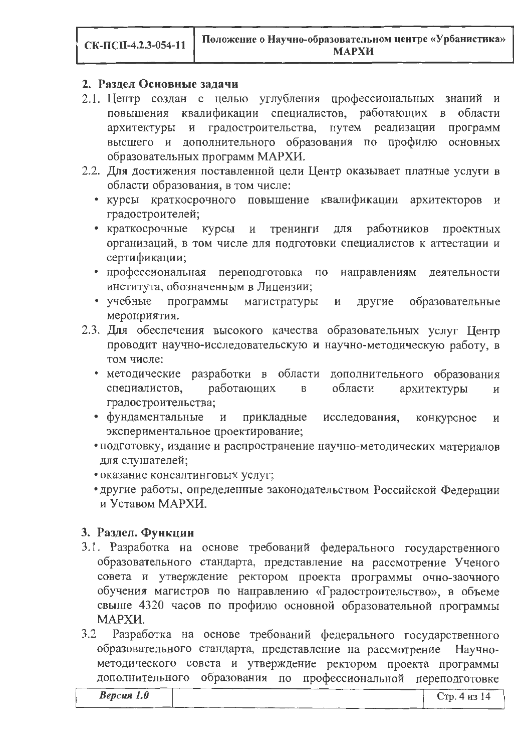#### 2. Разлел Основные залачи

- 2.1. Пентр созлан с целью углубления профессиональных знаний и повышения квалификации специалистов, работающих в области градостроительства, путем реализации программ архитектуры и высшего и дополнительного образования по профилю основных образовательных программ МАРХИ.
- 2.2. Для достижения поставленной цели Центр оказывает платные услуги в области образования, в том числе:
	- курсы краткосрочного повышение квалификации архитекторов и градостроителей;
	- краткосрочные работников проектных курсы тренинги лля  $\overline{M}$ организаций, в том числе для подготовки специалистов к аттестации и сертификации:
	- профессиональная переподготовка по направлениям леятельности института, обозначенным в Лицензии:
	- учебные программы магистратуры лругие образовательные  $\mathbf{u}$ мероприятия.
- 2.3. Для обеспечения высокого качества образовательных услуг Пентр проводит научно-исследовательскую и научно-методическую работу. в том числе:
	- методические разработки в области дополнительного образования специалистов. работающих области архитектуры  $\mathbf{B}$  $\overline{M}$ градостроительства;
	- фундаментальные прикладные исследования. конкурсное  $\mathbf{u}$ экспериментальное проектирование:
	- подготовку, издание и распространение научно-метолических материалов для слушателей;
	- оказание консалтинговых услуг:
	- другие работы, определенные законодательством Российской Фелерации и Уставом МАРХИ.

### 3. Раздел. Функции

- 3.1. Разработка на основе требований федерального государственного образовательного стандарта, представление на рассмотрение Ученого совета и утверждение ректором проекта программы очно-заочного обучения магистров по направлению «Градостроительство», в объеме свыше 4320 часов по профилю основной образовательной программы МАРХИ.
- 3.2 Разработка на основе требований федерального государственного образовательного стандарта, представление на рассмотрение Научнометодического совета и утверждение ректором проекта программы дополнительного образования по профессиональной переполготовке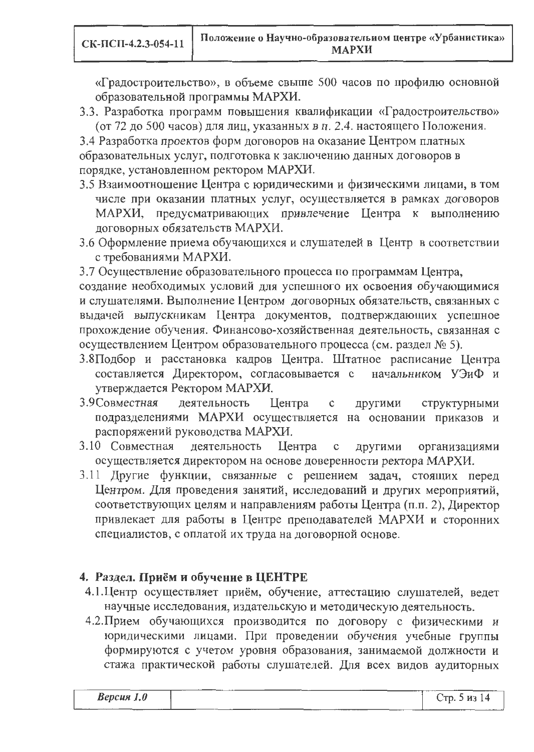«Градостроительство», в объеме свыше 500 часов по профилю основной образовательной программы МАРХИ.

3.3. Разработка программ повышения квалификации «Градостроительство» (от 72 до 500 часов) для лиц, указанных в п. 2.4. настоящего Положения.

3.4 Разработка проектов форм договоров на оказание Центром платных образовательных услуг, подготовка к заключению данных договоров в порядке, установленном ректором МАРХИ.

- 3.5 Взаимоотношение Центра с юридическими и физическими лицами, в том числе при оказании платных услуг, осуществляется в рамках договоров МАРХИ, предусматривающих привлечение Центра к выполнению договорных обязательств МАРХИ.
- 3.6 Оформление приема обучающихся и слушателей в Центр в соответствии с требованиями МАРХИ.

3.7 Осуществление образовательного процесса по программам Центра,

создание необходимых условий для успешного их освоения обучающимися и слушателями. Выполнение Центром договорных обязательств, связанных с выдачей выпускникам Центра документов, подтверждающих успешное прохождение обучения. Финансово-хозяйственная деятельность, связанная с осуществлением Центром образовательного процесса (см. раздел № 5).

- 3.8Подбор и расстановка кадров Центра. Штатное расписание Центра составляется Директором, согласовывается с начальником УЭиФ и утверждается Ректором МАРХИ.
- 3.9 Совместная деятельность Центра  $\mathbf{C}$ другими структурными подразделениями МАРХИ осуществляется на основании приказов и распоряжений руководства МАРХИ.
- 3.10 Совместная деятельность Центра  $\mathbf C$ другими организациями осуществляется директором на основе доверенности ректора МАРХИ.
- 3.11 Другие функции, связанные с решением задач, стоящих перед Центром. Для проведения занятий, исследований и других мероприятий, соответствующих целям и направлениям работы Центра (п.п. 2), Директор привлекает для работы в Центре преподавателей МАРХИ и сторонних специалистов, с оплатой их труда на договорной основе.

# 4. Раздел. Приём и обучение в ЦЕНТРЕ

- 4.1. Центр осуществляет приём, обучение, аттестацию слушателей, ведет научные исследования, издательскую и методическую деятельность.
- 4.2. Прием обучающихся производится по договору с физическими и юридическими лицами. При проведении обучения учебные группы формируются с учетом уровня образования, занимаемой должности и стажа практической работы слушателей. Для всех видов аудиторных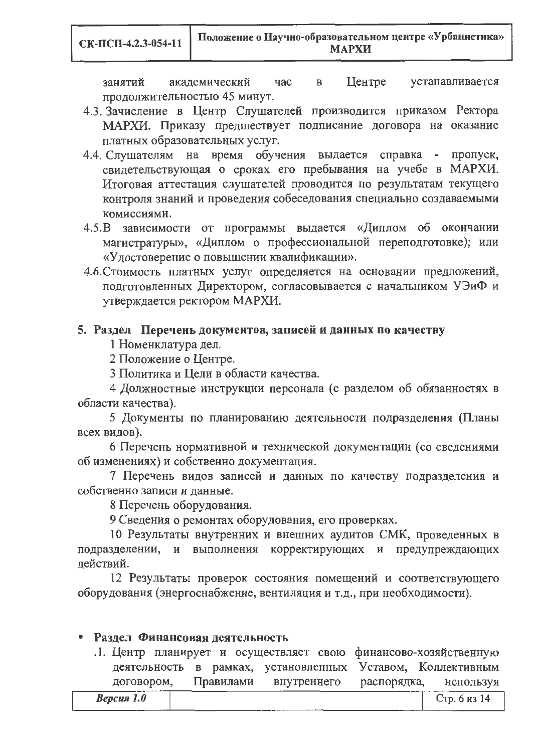занятий академический час  $\overline{B}$ Центре устанавливается продолжительностью 45 минут.

- 4.3. Зачисление в Центр Слушателей производится приказом Ректора МАРХИ. Приказу предшествует подписание договора на оказание платных образовательных услуг.
- 4.4. Слушателям на время обучения выдается справка пропуск, свидетельствующая о сроках его пребывания на учебе в МАРХИ. Итоговая аттестация слушателей проводится по результатам текущего контроля знаний и проведения собеседования специально создаваемыми комиссиями.
- 4.5. В зависимости от программы выдается «Диплом об окончании магистратуры», «Диплом о профессиональной переподготовке); или «Удостоверение о повышении квалификации».
- 4.6. Стоимость платных услуг определяется на основании предложений, подготовленных Директором, согласовывается с начальником УЭиФ и утверждается ректором МАРХИ.

### 5. Раздел Перечень документов, записей и данных по качеству

1 Номенклатура дел.

2 Положение о Центре.

3 Политика и Цели в области качества.

4 Должностные инструкции персонала (с разделом об обязанностях в области качества).

5 Документы по планированию деятельности подразделения (Планы всех видов).

6 Перечень нормативной и технической документации (со сведениями об изменениях) и собственно документация.

7 Перечень видов записей и данных по качеству подразделения и собственно записи и данные.

8 Перечень оборудования.

9 Сведения о ремонтах оборудования, его проверках.

10 Результаты внутренних и внешних аудитов СМК, проведенных в подразделении, и выполнения корректирующих и предупреждающих действий.

12 Результаты проверок состояния помещений и соответствующего оборудования (энергоснабжение, вентиляция и т.д., при необходимости).

### • Раздел Финансовая деятельность

.1. Центр планирует и осуществляет свою финансово-хозяйственную деятельность в рамках, установленных Уставом, Коллективным договором, Правилами внутреннего распорядка, используя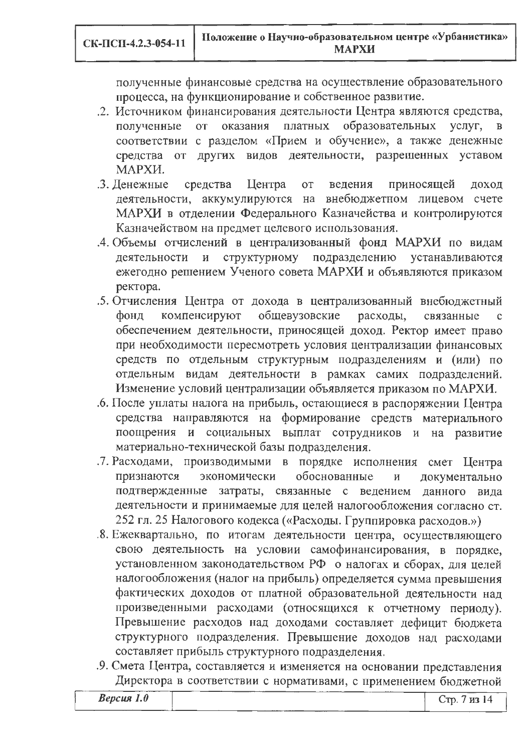полученные финансовые средства на осуществление образовательного процесса, на функционирование и собственное развитие.

- .2. Источником финансирования деятельности Центра являются средства, образовательных полученные **OT** оказания платных услуг,  $\overline{B}$ соответствии с разделом «Прием и обучение», а также денежные видов деятельности, разрешенных уставом средства от других МАРХИ.
- Центра ведения .3. Денежные средства **OT** приносящей доход деятельности, аккумулируются на внебюджетном лицевом счете МАРХИ в отделении Федерального Казначейства и контролируются Казначейством на предмет целевого использования.
- .4. Объемы отчислений в централизованный фонд МАРХИ по видам деятельности подразделению  $\mathbf{M}$ структурному устанавливаются ежегодно решением Ученого совета МАРХИ и объявляются приказом ректора.
- 5. Отчисления Центра от дохода в централизованный внебюджетный фонд компенсируют общевузовские расходы, связанные обеспечением деятельности, приносящей доход. Ректор имеет право при необходимости пересмотреть условия централизации финансовых средств по отдельным структурным подразделениям и (или) по отдельным видам деятельности в рамках самих подразделений. Изменение условий централизации объявляется приказом по МАРХИ.
- 6. После уплаты налога на прибыль, остающиеся в распоряжении Центра средства направляются на формирование средств материального поощрения и социальных выплат сотрудников и на развитие материально-технической базы подразделения.
- .7. Расходами, производимыми в порядке исполнения смет Центра признаются экономически обоснованные  $\overline{M}$ документально связанные с ведением подтвержденные затраты, данного вида деятельности и принимаемые для целей налогообложения согласно ст. 252 гл. 25 Налогового кодекса («Расходы. Группировка расходов.»)
- 8. Ежеквартально, по итогам деятельности центра, осуществляющего свою деятельность на условии самофинансирования, в порядке, установленном законодательством РФ о налогах и сборах, для целей налогообложения (налог на прибыль) определяется сумма превышения фактических доходов от платной образовательной деятельности над произведенными расходами (относящихся к отчетному периоду). Превышение расходов над доходами составляет дефицит бюджета структурного подразделения. Превышение доходов над расходами составляет прибыль структурного подразделения.
- .9. Смета Центра, составляется и изменяется на основании представления Директора в соответствии с нормативами, с применением бюджетной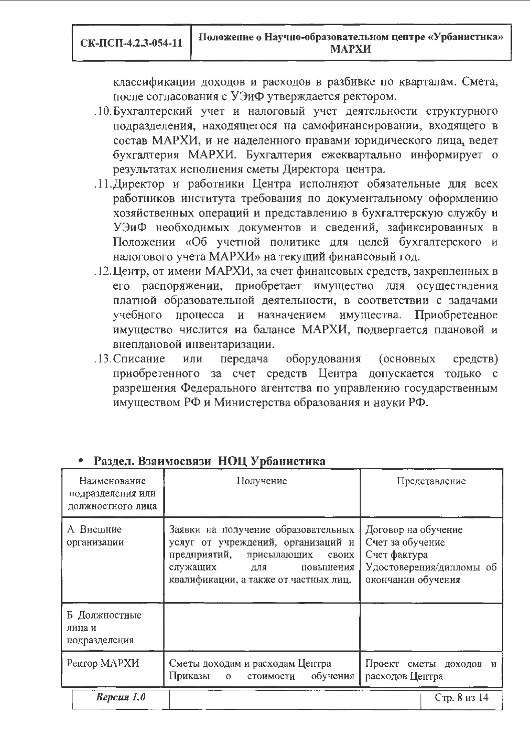классификации доходов и расходов в разбивке по кварталам. Смета, после согласования с УЭиФ утверждается ректором.

- .10. Бухгалтерский учет и налоговый учет деятельности структурного подразделения, находящегося на самофинансировании, входящего в состав МАРХИ, и не наделенного правами юридического лица, ведет бухгалтерия МАРХИ. Бухгалтерия ежеквартально информирует о результатах исполнения сметы Директора центра.
- .11. Директор и работники Центра исполняют обязательные для всех работников института требования по документальному оформлению хозяйственных операций и представлению в бухгалтерскую службу и УЭиФ необходимых документов и сведений, зафиксированных в Положении «Об учетной политике для целей бухгалтерского и налогового учета МАРХИ» на текущий финансовый год.
- .12. Центр, от имени МАРХИ, за счет финансовых средств, закрепленных в его распоряжении, приобретает имущество для осуществления платной образовательной деятельности, в соответствии с задачами учебного процесса и назначением имущества. Приобретенное имущество числится на балансе МАРХИ, подвергается плановой и внеплановой инвентаризации.
- .13. Списание оборудования или передача (основных средств) приобретенного за счет средств Центра допускается только с разрешения Федерального агентства по управлению государственным имуществом РФ и Министерства образования и науки РФ.

|                                                        | 1 нэдэн 17энглэгчийн 1101 (роман гэргэ                                                                                                                                                  |                                                                                                           |  |
|--------------------------------------------------------|-----------------------------------------------------------------------------------------------------------------------------------------------------------------------------------------|-----------------------------------------------------------------------------------------------------------|--|
| Наименование<br>подразделения или<br>должностного лица | Получение                                                                                                                                                                               | Представление                                                                                             |  |
| А Внешние<br>организации                               | Заявки на получение образовательных<br>услуг от учреждений, организаций и<br>предприятий, присылающих<br>своих<br>служащих<br>повышения<br>ДЛЯ<br>квалификации, а также от частных лиц. | Договор на обучение<br>Счет за обучение<br>Счет фактура<br>Удостоверения/дипломы об<br>окончании обучения |  |
| Б Должностные<br>лица и<br>подразделсния               |                                                                                                                                                                                         |                                                                                                           |  |
| Ректор МАРХИ                                           | Сметы доходам и расходам Центра<br>Приказы о стоимости обучення                                                                                                                         | Проект сметы доходов и<br>расходов Центра                                                                 |  |
| Версия $1.0$                                           |                                                                                                                                                                                         | Стр. 8 из 14                                                                                              |  |

### Разлел Взаимосвязи НОН Урбанистика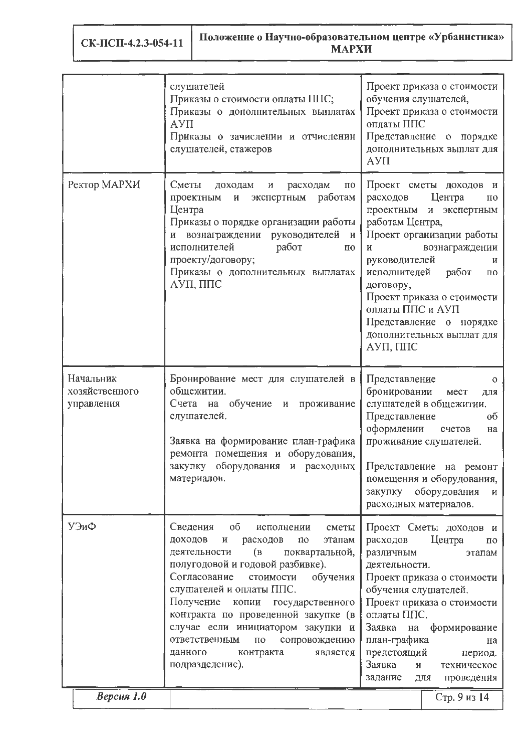СК-ПСП-4.2.3-054-11

|                                           | слушателей<br>Проект приказа о стоимости<br>обучения слушателей,<br>Приказы о стоимости оплаты ППС;<br>Проект приказа о стоимости<br>Приказы о дополнительных выплатах<br>оплаты ППС<br>АУП<br>Приказы о зачислении и отчисленин<br>Представление о порядке<br>слушателей, стажеров<br>дополнительных выплат для<br>AYII                                                                                                                                                                               |                                                                                                                                                                                                                                                                                                                                                            |  |  |  |  |
|-------------------------------------------|--------------------------------------------------------------------------------------------------------------------------------------------------------------------------------------------------------------------------------------------------------------------------------------------------------------------------------------------------------------------------------------------------------------------------------------------------------------------------------------------------------|------------------------------------------------------------------------------------------------------------------------------------------------------------------------------------------------------------------------------------------------------------------------------------------------------------------------------------------------------------|--|--|--|--|
| Ректор МАРХИ                              | Сметы<br>доходам<br>расходам<br>$\overline{10}$<br>И<br>работам<br>и экспертным<br>проектным<br>Центра<br>Приказы о порядке организации работы<br>и вознаграждении руководителей<br>$\mathbf{H}$<br>работ<br>исполнителей<br>по<br>проекту/договору;<br>Приказы о дополнительных выплатах<br>АУП, ППС                                                                                                                                                                                                  | Проект сметы доходов и<br>Центра<br>расходов<br>$\mathbf{u}$<br>проектным и экспертным<br>работам Центра,<br>Проект организации работы<br>вознаграждении<br>И<br>руководителей<br>И<br>исполнителей<br>работ<br>$\Pi 0$<br>договору,<br>Проект приказа о стоимости<br>оплаты ППС и АУП<br>Представление о порядке<br>дополнительных выплат для<br>АУП, ППС |  |  |  |  |
| Начальник<br>хозяйственного<br>управления | Бронирование мест для слушателей в<br>общежитии.<br>Счета на обучение и проживание<br>слушателей.<br>Заявка на формирование план-графика<br>ремонта помещения и оборудования,<br>закупку оборудования и расходных<br>материалов.                                                                                                                                                                                                                                                                       | Представление<br>$\Omega$<br>бронировании<br>мест<br>для<br>слушателей в общежитии.<br>Представление<br>0 <sup>6</sup><br>оформлении<br>счетов<br>на<br>проживание слушателей.<br>Представление на ремонт<br>помещения и оборудования,<br>закупку оборудования<br>И<br>расходных материалов.                                                               |  |  |  |  |
| УЭиФ                                      | Сведения<br>об<br>исполнении<br>сметы<br>доходов<br>расходов<br>И<br>$\overline{10}$<br>этапам<br>$\left( \mathbf{B}\right)$<br>деятельности<br>поквартальной,<br>полугодовой и годовой разбивке).<br>Согласование<br>обучения<br>стоимости<br>слушателей и оплаты ППС.<br>Получение<br>копии<br>государственного<br>контракта по проведенной закупке (в<br>случае если инициатором закупки и<br>сопровождению<br>ответственным<br>$\Pi{\rm O}$<br>данного<br>контракта<br>является<br>подразделение). | Проект Сметы доходов и<br>расходов<br>Центра<br>по<br>различным<br>этапам<br>деятельности.<br>Проект приказа о стоимости<br>обучения слушателей.<br>Проект приказа о стоимости<br>оплаты ППС.<br>Заявка<br>на формирование<br>план-графика<br>на<br>предстоящий<br>период.<br>Заявка<br>И<br>техническое<br>задание<br><b>RILL</b><br>проведения           |  |  |  |  |
| $Bepcus$ 1.0                              |                                                                                                                                                                                                                                                                                                                                                                                                                                                                                                        | Стр. 9 из 14                                                                                                                                                                                                                                                                                                                                               |  |  |  |  |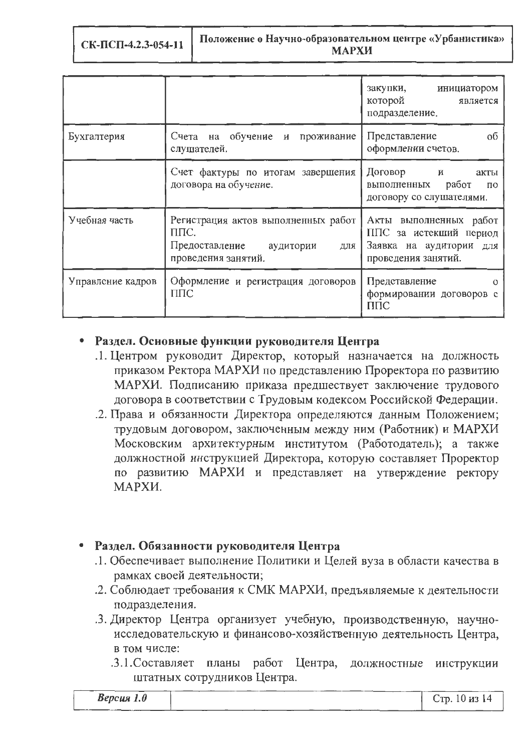|                   |                                                                                                       | закупки, инициатором<br>которой<br>является<br>подразделение.                                      |
|-------------------|-------------------------------------------------------------------------------------------------------|----------------------------------------------------------------------------------------------------|
| Бухгалтерия       | Счета на обучение и проживание<br>слушателей.                                                         | об<br>Представление<br>оформлении счетов.                                                          |
|                   | Счет фактуры по итогам завершения<br>договора на обучение.                                            | Договор и<br>акты<br>выполненных работ<br>по<br>договору со слушателями.                           |
| Учебная часть     | Регистрация актов выполненных работ<br>ППС.<br>Предоставление аудитории<br>ДЛЯ<br>проведения занятий. | Акты выполненных работ<br>ППС за истекший период<br>Заявка на аудитории для<br>проведения занятий. |
| Управление кадров | Оформление и регистрация договоров<br>$\Pi\Pi C$                                                      | Представление<br>$\Omega$<br>формировании договоров с<br>ППС                                       |

# • Раздел. Основные функции руководителя Центра

- .1. Центром руководит Директор, который назначается на должность приказом Ректора МАРХИ по представлению Проректора по развитию МАРХИ. Подписанию приказа предшествует заключение трудового договора в соответствии с Трудовым кодексом Российской Федерации.
- .2. Права и обязанности Директора определяются данным Положением; трудовым договором, заключенным между ним (Работник) и МАРХИ Московским архитектурным институтом (Работодатель); а также должностной инструкцией Директора, которую составляет Проректор по развитию МАРХИ и представляет на утверждение ректору МАРХИ.

# • Раздел. Обязанности руководителя Центра

- .1. Обеспечивает выполнение Политики и Целей вуза в области качества в рамках своей деятельности;
- .2. Соблюдает требования к СМК МАРХИ, предъявляемые к деятельности подразделения.
- .3. Директор Центра организует учебную, производственную, научноисследовательскую и финансово-хозяйственную деятельность Центра, в том числе:
	- .3.1. Составляет планы работ Центра, должностные инструкции штатных сотрудников Центра.

| <b>Версия</b> 1.0 |  |  |  |  | Стр. 10 из 14 |
|-------------------|--|--|--|--|---------------|
|                   |  |  |  |  |               |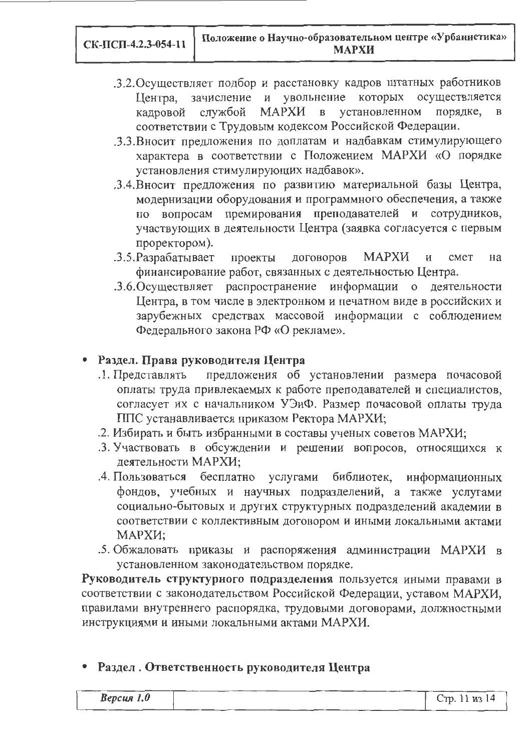- .3.2. Осуществляет подбор и расстановку кадров штатных работников Центра, зачисление и увольнение которых осуществляется службой МАРХИ в установленном порядке. кадровой соответствии с Трудовым кодексом Российской Федерации.
- .3.3. Вносит предложения по доплатам и надбавкам стимулирующего характера в соответствии с Положением МАРХИ «О порядке установления стимулирующих надбавок».
- .3.4. Вносит предложения по развитию материальной базы Центра, модернизации оборудования и программного обеспечения, а также премирования преподавателей и сотрудников, по вопросам участвующих в деятельности Центра (заявка согласуется с первым проректором).
- .3.5. Разрабатывает проекты договоров **MAPXИ**  $\, {\bf M}$ cmet на финансирование работ, связанных с деятельностью Центра.
- .3.6. Осуществляет распространение информации о деятельности Центра, в том числе в электронном и печатном виде в российских и зарубежных средствах массовой информации с соблюдением Федерального закона РФ «О рекламе».

# Раздел. Права руководителя Центра

- предложения об установлении размера почасовой .1. Представлять оплаты труда привлекаемых к работе преподавателей и специалистов, согласует их с начальником УЭиФ. Размер почасовой оплаты труда ППС устанавливается приказом Ректора МАРХИ;
- 2. Избирать и быть избранными в составы ученых советов МАРХИ;
- 3. Участвовать в обсуждении и решении вопросов, относящихся к деятельности МАРХИ:
- .4. Пользоваться бесплатно услугами библиотек, информационных фондов, учебных и научных подразделений, а также услугами социально-бытовых и других структурных подразделений академии в соответствии с коллективным договором и иными локальными актами МАРХИ;
- .5. Обжаловать приказы и распоряжения администрации МАРХИ в установленном законодательством порядке.

Руководитель структурного подразделения пользуется иными правами в соответствии с законодательством Российской Федерации, уставом МАРХИ, правилами внутреннего распорядка, трудовыми договорами, должностными инструкциями и иными локальными актами МАРХИ.

# Раздел. Ответственность руководителя Центра

| $Bepc$ ия 1.0 |  | Стр. 11 из 14 |
|---------------|--|---------------|